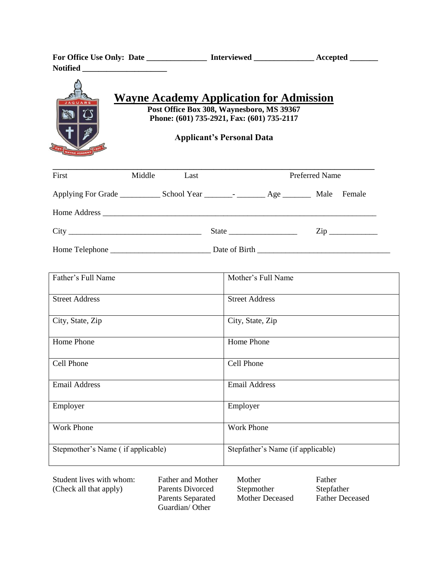| For Office Use Only: Date | <b>Interviewed</b> | Accepted |
|---------------------------|--------------------|----------|
| <b>Notified</b>           |                    |          |



| First | Middle | Last |                                                                                                                                                                                                                                                                                                                                                                                                                                                   | <b>Preferred Name</b> |                  |
|-------|--------|------|---------------------------------------------------------------------------------------------------------------------------------------------------------------------------------------------------------------------------------------------------------------------------------------------------------------------------------------------------------------------------------------------------------------------------------------------------|-----------------------|------------------|
|       |        |      |                                                                                                                                                                                                                                                                                                                                                                                                                                                   | Male                  | Female           |
|       |        |      |                                                                                                                                                                                                                                                                                                                                                                                                                                                   |                       |                  |
|       |        |      | State $\frac{1}{\sqrt{1-\frac{1}{2}} \cdot \frac{1}{\sqrt{1-\frac{1}{2}} \cdot \frac{1}{\sqrt{1-\frac{1}{2}} \cdot \frac{1}{\sqrt{1-\frac{1}{2}} \cdot \frac{1}{\sqrt{1-\frac{1}{2}} \cdot \frac{1}{\sqrt{1-\frac{1}{2}} \cdot \frac{1}{\sqrt{1-\frac{1}{2}} \cdot \frac{1}{\sqrt{1-\frac{1}{2}} \cdot \frac{1}{\sqrt{1-\frac{1}{2}} \cdot \frac{1}{\sqrt{1-\frac{1}{2}} \cdot \frac{1}{\sqrt{1-\frac{1}{2}} \cdot \frac{1}{\sqrt{1-\frac{1}{2}}$ |                       | $\mathsf{Zip}\_$ |
|       |        |      |                                                                                                                                                                                                                                                                                                                                                                                                                                                   |                       |                  |

**\_\_\_\_\_\_\_\_\_\_\_\_\_\_\_\_\_\_\_\_\_\_\_\_\_\_\_\_\_\_\_\_\_\_\_\_\_\_\_\_\_\_\_\_\_\_\_\_\_\_\_\_\_\_\_\_\_\_\_\_\_\_\_\_\_\_\_\_\_\_\_\_\_\_\_\_\_\_\_\_**

| Father's Full Name                | Mother's Full Name                |
|-----------------------------------|-----------------------------------|
| <b>Street Address</b>             | <b>Street Address</b>             |
| City, State, Zip                  | City, State, Zip                  |
| Home Phone                        | Home Phone                        |
| Cell Phone                        | Cell Phone                        |
| <b>Email Address</b>              | <b>Email Address</b>              |
| Employer                          | Employer                          |
| <b>Work Phone</b>                 | <b>Work Phone</b>                 |
| Stepmother's Name (if applicable) | Stepfather's Name (if applicable) |

| Student lives with whom: | <b>Father and Mother</b> | Mother          | Father                 |
|--------------------------|--------------------------|-----------------|------------------------|
| (Check all that apply)   | Parents Divorced         | Stepmother      | Stepfather             |
|                          | <b>Parents Separated</b> | Mother Deceased | <b>Father Deceased</b> |
|                          | Guardian/Other           |                 |                        |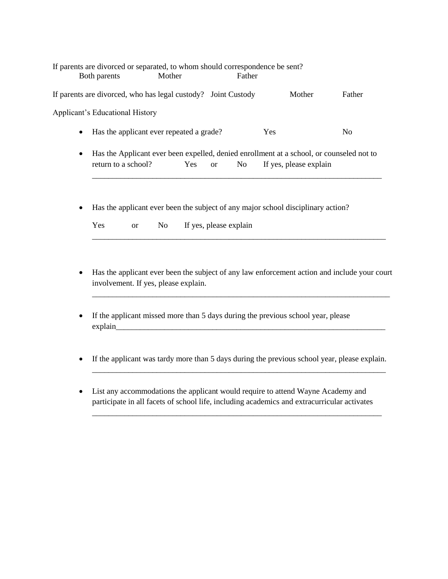|           | If parents are divorced or separated, to whom should correspondence be sent?<br>Both parents                    | Mother | Father |                        |                |
|-----------|-----------------------------------------------------------------------------------------------------------------|--------|--------|------------------------|----------------|
|           | If parents are divorced, who has legal custody? Joint Custody                                                   |        |        | Mother                 | Father         |
|           | <b>Applicant's Educational History</b>                                                                          |        |        |                        |                |
| $\bullet$ | Has the applicant ever repeated a grade?                                                                        |        |        | <b>Yes</b>             | N <sub>0</sub> |
| $\bullet$ | Has the Applicant ever been expelled, denied enrollment at a school, or counseled not to<br>return to a school? | Yes or | No n   | If yes, please explain |                |
|           | . Use the evaluant even heap the evident of ever mains asked disculpted using                                   |        |        |                        |                |

Has the applicant ever been the subject of any major school disciplinary action?

| Yes | or | No | If yes, please explain |
|-----|----|----|------------------------|
|-----|----|----|------------------------|

 Has the applicant ever been the subject of any law enforcement action and include your court involvement. If yes, please explain.

\_\_\_\_\_\_\_\_\_\_\_\_\_\_\_\_\_\_\_\_\_\_\_\_\_\_\_\_\_\_\_\_\_\_\_\_\_\_\_\_\_\_\_\_\_\_\_\_\_\_\_\_\_\_\_\_\_\_\_\_\_\_\_\_\_\_\_\_\_\_\_\_\_\_

\_\_\_\_\_\_\_\_\_\_\_\_\_\_\_\_\_\_\_\_\_\_\_\_\_\_\_\_\_\_\_\_\_\_\_\_\_\_\_\_\_\_\_\_\_\_\_\_\_\_\_\_\_\_\_\_\_\_\_\_\_\_\_\_\_\_\_\_\_\_\_\_\_

- If the applicant missed more than 5 days during the previous school year, please explain\_\_\_\_\_\_\_\_\_\_\_\_\_\_\_\_\_\_\_\_\_\_\_\_\_\_\_\_\_\_\_\_\_\_\_\_\_\_\_\_\_\_\_\_\_\_\_\_\_\_\_\_\_\_\_\_\_\_\_\_\_\_\_\_\_\_\_
- If the applicant was tardy more than 5 days during the previous school year, please explain.

\_\_\_\_\_\_\_\_\_\_\_\_\_\_\_\_\_\_\_\_\_\_\_\_\_\_\_\_\_\_\_\_\_\_\_\_\_\_\_\_\_\_\_\_\_\_\_\_\_\_\_\_\_\_\_\_\_\_\_\_\_\_\_\_\_\_\_\_\_\_\_\_\_

\_\_\_\_\_\_\_\_\_\_\_\_\_\_\_\_\_\_\_\_\_\_\_\_\_\_\_\_\_\_\_\_\_\_\_\_\_\_\_\_\_\_\_\_\_\_\_\_\_\_\_\_\_\_\_\_\_\_\_\_\_\_\_\_\_\_\_\_\_\_\_\_

 List any accommodations the applicant would require to attend Wayne Academy and participate in all facets of school life, including academics and extracurricular activates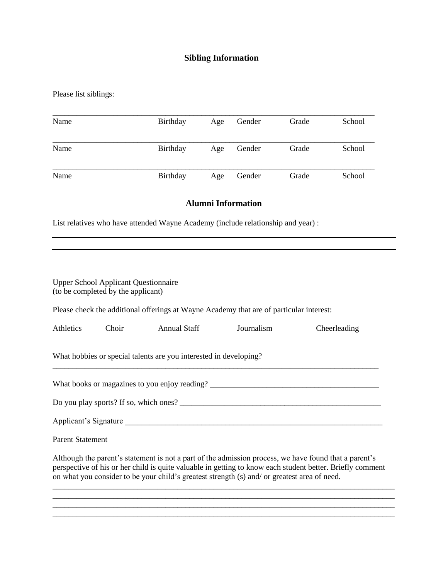## **Sibling Information**

Please list siblings:

| Name | Birthday | Age | Gender | Grade | School |
|------|----------|-----|--------|-------|--------|
| Name | Birthday | Age | Gender | Grade | School |
| Name | Birthday | Age | Gender | Grade | School |

## **Alumni Information**

List relatives who have attended Wayne Academy (include relationship and year) :

| <b>Upper School Applicant Questionnaire</b><br>(to be completed by the applicant)                                                                                                                                                                                                                                  |  |                                                                                         |            |              |  |  |
|--------------------------------------------------------------------------------------------------------------------------------------------------------------------------------------------------------------------------------------------------------------------------------------------------------------------|--|-----------------------------------------------------------------------------------------|------------|--------------|--|--|
|                                                                                                                                                                                                                                                                                                                    |  | Please check the additional offerings at Wayne Academy that are of particular interest: |            |              |  |  |
| <b>Athletics</b>                                                                                                                                                                                                                                                                                                   |  | Choir Annual Staff                                                                      | Journalism | Cheerleading |  |  |
|                                                                                                                                                                                                                                                                                                                    |  | What hobbies or special talents are you interested in developing?                       |            |              |  |  |
|                                                                                                                                                                                                                                                                                                                    |  | What books or magazines to you enjoy reading?                                           |            |              |  |  |
|                                                                                                                                                                                                                                                                                                                    |  |                                                                                         |            |              |  |  |
|                                                                                                                                                                                                                                                                                                                    |  | Applicant's Signature                                                                   |            |              |  |  |
| <b>Parent Statement</b>                                                                                                                                                                                                                                                                                            |  |                                                                                         |            |              |  |  |
| Although the parent's statement is not a part of the admission process, we have found that a parent's<br>perspective of his or her child is quite valuable in getting to know each student better. Briefly comment<br>on what you consider to be your child's greatest strength (s) and/ or greatest area of need. |  |                                                                                         |            |              |  |  |
|                                                                                                                                                                                                                                                                                                                    |  |                                                                                         |            |              |  |  |

\_\_\_\_\_\_\_\_\_\_\_\_\_\_\_\_\_\_\_\_\_\_\_\_\_\_\_\_\_\_\_\_\_\_\_\_\_\_\_\_\_\_\_\_\_\_\_\_\_\_\_\_\_\_\_\_\_\_\_\_\_\_\_\_\_\_\_\_\_\_\_\_\_\_\_\_\_\_\_\_\_\_\_\_\_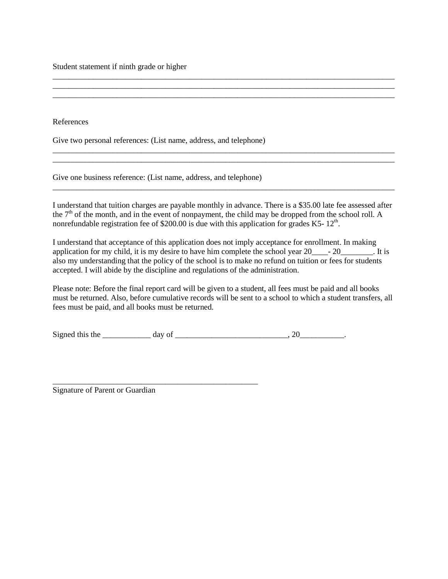Student statement if ninth grade or higher

References

Give two personal references: (List name, address, and telephone)

Give one business reference: (List name, address, and telephone)

\_\_\_\_\_\_\_\_\_\_\_\_\_\_\_\_\_\_\_\_\_\_\_\_\_\_\_\_\_\_\_\_\_\_\_\_\_\_\_\_\_\_\_\_\_\_\_\_\_\_\_

I understand that tuition charges are payable monthly in advance. There is a \$35.00 late fee assessed after the  $7<sup>th</sup>$  of the month, and in the event of nonpayment, the child may be dropped from the school roll. A nonrefundable registration fee of \$200.00 is due with this application for grades K5-  $12<sup>th</sup>$ .

\_\_\_\_\_\_\_\_\_\_\_\_\_\_\_\_\_\_\_\_\_\_\_\_\_\_\_\_\_\_\_\_\_\_\_\_\_\_\_\_\_\_\_\_\_\_\_\_\_\_\_\_\_\_\_\_\_\_\_\_\_\_\_\_\_\_\_\_\_\_\_\_\_\_\_\_\_\_\_\_\_\_\_\_\_

\_\_\_\_\_\_\_\_\_\_\_\_\_\_\_\_\_\_\_\_\_\_\_\_\_\_\_\_\_\_\_\_\_\_\_\_\_\_\_\_\_\_\_\_\_\_\_\_\_\_\_\_\_\_\_\_\_\_\_\_\_\_\_\_\_\_\_\_\_\_\_\_\_\_\_\_\_\_\_\_\_\_\_\_\_ \_\_\_\_\_\_\_\_\_\_\_\_\_\_\_\_\_\_\_\_\_\_\_\_\_\_\_\_\_\_\_\_\_\_\_\_\_\_\_\_\_\_\_\_\_\_\_\_\_\_\_\_\_\_\_\_\_\_\_\_\_\_\_\_\_\_\_\_\_\_\_\_\_\_\_\_\_\_\_\_\_\_\_\_\_

\_\_\_\_\_\_\_\_\_\_\_\_\_\_\_\_\_\_\_\_\_\_\_\_\_\_\_\_\_\_\_\_\_\_\_\_\_\_\_\_\_\_\_\_\_\_\_\_\_\_\_\_\_\_\_\_\_\_\_\_\_\_\_\_\_\_\_\_\_\_\_\_\_\_\_\_\_\_\_\_\_\_\_\_\_ \_\_\_\_\_\_\_\_\_\_\_\_\_\_\_\_\_\_\_\_\_\_\_\_\_\_\_\_\_\_\_\_\_\_\_\_\_\_\_\_\_\_\_\_\_\_\_\_\_\_\_\_\_\_\_\_\_\_\_\_\_\_\_\_\_\_\_\_\_\_\_\_\_\_\_\_\_\_\_\_\_\_\_\_\_ \_\_\_\_\_\_\_\_\_\_\_\_\_\_\_\_\_\_\_\_\_\_\_\_\_\_\_\_\_\_\_\_\_\_\_\_\_\_\_\_\_\_\_\_\_\_\_\_\_\_\_\_\_\_\_\_\_\_\_\_\_\_\_\_\_\_\_\_\_\_\_\_\_\_\_\_\_\_\_\_\_\_\_\_\_

I understand that acceptance of this application does not imply acceptance for enrollment. In making application for my child, it is my desire to have him complete the school year  $20$ <sup>\_\_\_\_\_</sup>- 20\_\_\_\_\_\_\_\_. It is also my understanding that the policy of the school is to make no refund on tuition or fees for students accepted. I will abide by the discipline and regulations of the administration.

Please note: Before the final report card will be given to a student, all fees must be paid and all books must be returned. Also, before cumulative records will be sent to a school to which a student transfers, all fees must be paid, and all books must be returned.

| Signed<br>the<br>this |  |  |
|-----------------------|--|--|
|                       |  |  |
|                       |  |  |

Signature of Parent or Guardian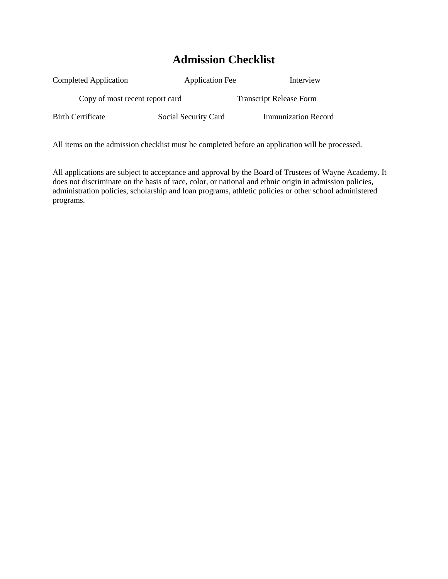## **Admission Checklist**

| Completed Application           | <b>Application Fee</b> | Interview                      |
|---------------------------------|------------------------|--------------------------------|
| Copy of most recent report card |                        | <b>Transcript Release Form</b> |
| <b>Birth Certificate</b>        | Social Security Card   | <b>Immunization Record</b>     |

All items on the admission checklist must be completed before an application will be processed.

All applications are subject to acceptance and approval by the Board of Trustees of Wayne Academy. It does not discriminate on the basis of race, color, or national and ethnic origin in admission policies, administration policies, scholarship and loan programs, athletic policies or other school administered programs.